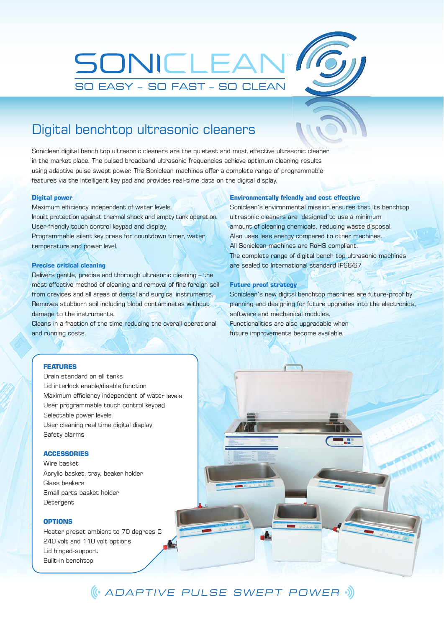

## Digital benchtop ultrasonic cleaners

Soniclean digital bench top ultrasonic cleaners are the quietest and most effective ultrasonic cleaner in the market place. The pulsed broadband ultrasonic frequencies achieve optimum cleaning results using adaptive pulse swept power. The Soniclean machines offer a complete range of programmable features via the intelligent key pad and provides real-time data on the digital display.

### **Digital power**

Maximum efficiency independent of water levels. Inbuilt protection against thermal shock and empty tank operation. User-friendly touch control keypad and display. Programmable silent key press for countdown timer, water temperature and power level.

### **Precise critical cleaning**

Delivers gentle, precise and thorough ultrasonic cleaning – the most effective method of cleaning and removal of fine foreign soil from crevices and all areas of dental and surgical instruments. Removes stubborn soil including blood contaminates without damage to the instruments.

Cleans in a fraction of the time reducing the overall operational and running costs.

#### **Environmentally friendly and cost effective**

Soniclean's environmental mission ensures that its benchtop ultrasonic cleaners are designed to use a minimum amount of cleaning chemicals, reducing waste disposal. Also uses less energy compared to other machines. All Soniclean machines are RoHS compliant. The complete range of digital bench top ultrasonic machines are sealed to International standard IP66/67

## **Future proof strategy**

Soniclean's new digital benchtop machines are future-proof by planning and designing for future upgrades into the electronics, software and mechanical modules. Functionalities are also upgradable when future improvements become available.

### **FEATURES**

Drain standard on all tanks Lid interlock enable/disable function Maximum efficiency independent of water levels User programmable touch control keypad Selectable power levels User cleaning real time digital display Safety alarms

### **ACCESSORIES**

Wire basket Acrylic basket, tray, beaker holder Glass beakers Small parts basket holder **Detergent** 

## **OPTIONS**

Heater preset ambient to 70 degrees C 240 volt and 110 volt options Lid hinged-support Built-in benchtop

ADAPTIVE PULSE SWEPT POWER